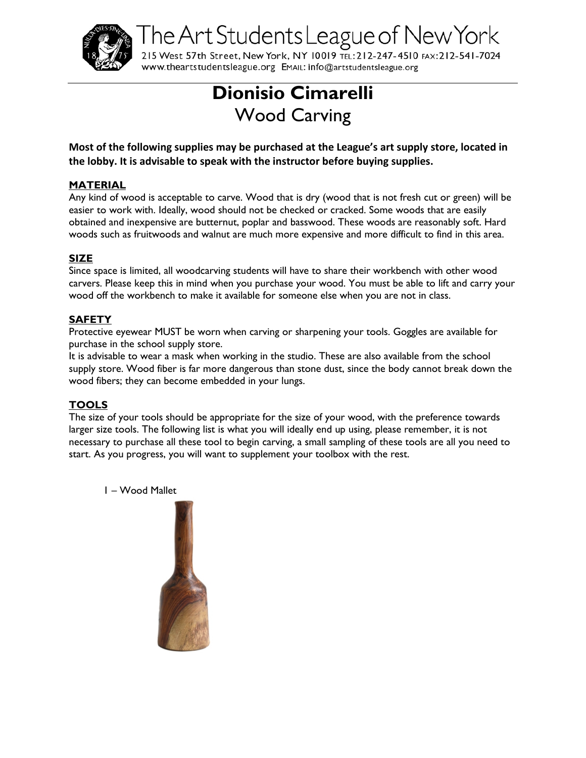

The Art Students League of New York

215 West 57th Street, New York, NY 10019 TEL: 212-247-4510 FAX: 212-541-7024 WWW.theartstudentsleague.org EMAIL: info@artstudentsleague.org

# **Dionisio Cimarelli** Wood Carving

**Most of the following supplies may be purchased at the League's art supply store, located in the lobby. It is advisable to speak with the instructor before buying supplies.**

### **MATERIAL**

Any kind of wood is acceptable to carve. Wood that is dry (wood that is not fresh cut or green) will be easier to work with. Ideally, wood should not be checked or cracked. Some woods that are easily obtained and inexpensive are butternut, poplar and basswood. These woods are reasonably soft. Hard woods such as fruitwoods and walnut are much more expensive and more difficult to find in this area.

## **SIZE**

Since space is limited, all woodcarving students will have to share their workbench with other wood carvers. Please keep this in mind when you purchase your wood. You must be able to lift and carry your wood off the workbench to make it available for someone else when you are not in class.

# **SAFETY**

Protective eyewear MUST be worn when carving or sharpening your tools. Goggles are available for purchase in the school supply store.

It is advisable to wear a mask when working in the studio. These are also available from the school supply store. Wood fiber is far more dangerous than stone dust, since the body cannot break down the wood fibers; they can become embedded in your lungs.

# **TOOLS**

The size of your tools should be appropriate for the size of your wood, with the preference towards larger size tools. The following list is what you will ideally end up using, please remember, it is not necessary to purchase all these tool to begin carving, a small sampling of these tools are all you need to start. As you progress, you will want to supplement your toolbox with the rest.

1 – Wood Mallet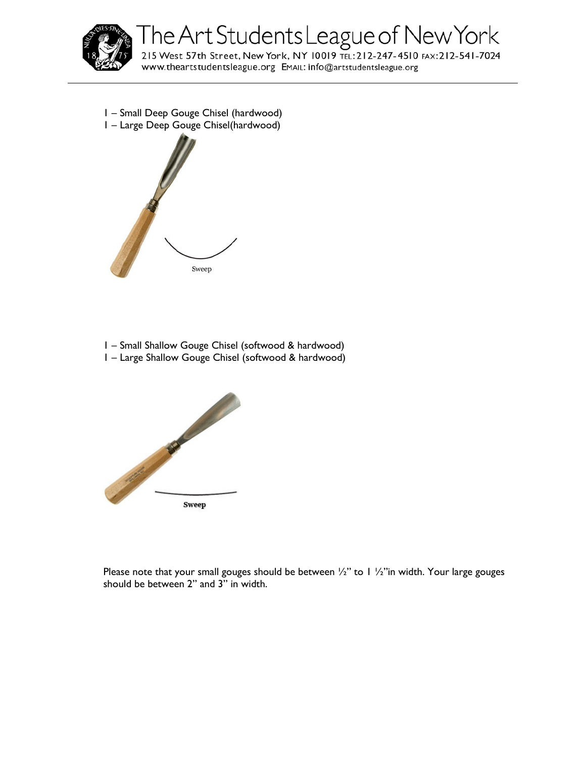

The Art Students League of New York<br>215 West 57th Street, New York, NY 10019 TEL:212-247-4510 FAX:212-541-7024

WWW.theartstudentsleague.org EMAIL: info@artstudentsleague.org

- 1 Small Deep Gouge Chisel (hardwood)
- 1 Large Deep Gouge Chisel(hardwood)



- 1 Small Shallow Gouge Chisel (softwood & hardwood)
- 1 Large Shallow Gouge Chisel (softwood & hardwood)



Please note that your small gouges should be between  $\frac{1}{2}$ " to 1  $\frac{1}{2}$ " in width. Your large gouges should be between 2" and 3" in width.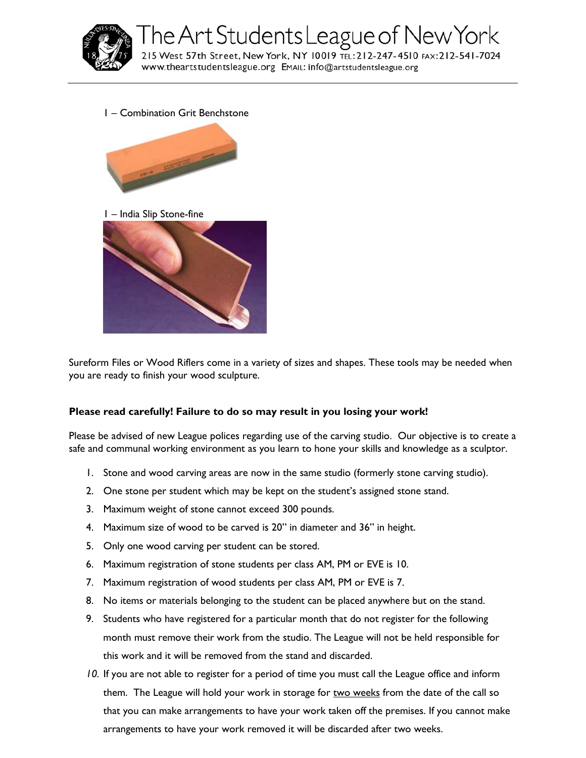

1 – Combination Grit Benchstone







Sureform Files or Wood Riflers come in a variety of sizes and shapes. These tools may be needed when you are ready to finish your wood sculpture.

#### **Please read carefully! Failure to do so may result in you losing your work!**

Please be advised of new League polices regarding use of the carving studio. Our objective is to create a safe and communal working environment as you learn to hone your skills and knowledge as a sculptor.

- 1. Stone and wood carving areas are now in the same studio (formerly stone carving studio).
- 2. One stone per student which may be kept on the student's assigned stone stand.
- 3. Maximum weight of stone cannot exceed 300 pounds.
- 4. Maximum size of wood to be carved is 20" in diameter and 36" in height.
- 5. Only one wood carving per student can be stored.
- 6. Maximum registration of stone students per class AM, PM or EVE is 10.
- 7. Maximum registration of wood students per class AM, PM or EVE is 7.
- 8. No items or materials belonging to the student can be placed anywhere but on the stand.
- 9. Students who have registered for a particular month that do not register for the following month must remove their work from the studio. The League will not be held responsible for this work and it will be removed from the stand and discarded.
- *10.* If you are not able to register for a period of time you must call the League office and inform them. The League will hold your work in storage for two weeks from the date of the call so that you can make arrangements to have your work taken off the premises. If you cannot make arrangements to have your work removed it will be discarded after two weeks.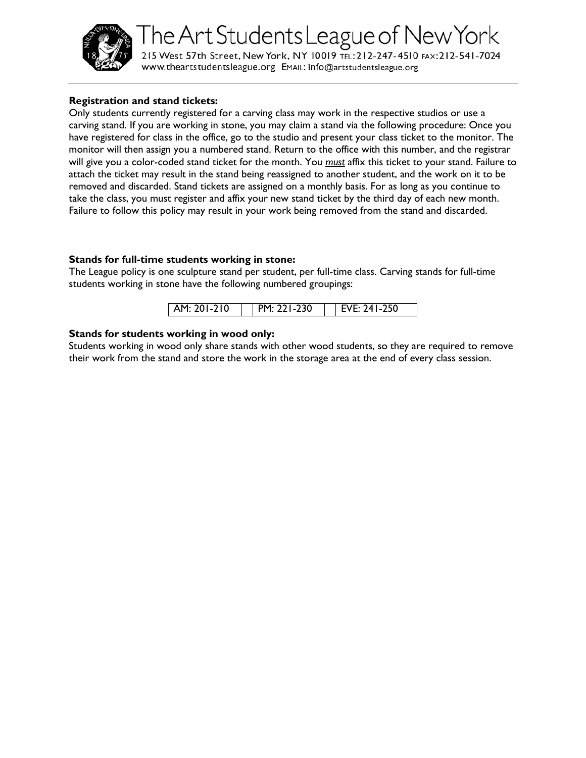

# The Art Students League of New York

215 West 57th Street, New York, NY 10019 TEL: 212-247-4510 FAX: 212-541-7024 www.theartstudentsleague.org EMAIL: info@artstudentsleague.org

#### **Registration and stand tickets:**

Only students currently registered for a carving class may work in the respective studios or use a carving stand. If you are working in stone, you may claim a stand via the following procedure: Once you have registered for class in the office, go to the studio and present your class ticket to the monitor. The monitor will then assign you a numbered stand. Return to the office with this number, and the registrar will give you a color-coded stand ticket for the month. You *must* affix this ticket to your stand. Failure to attach the ticket may result in the stand being reassigned to another student, and the work on it to be removed and discarded. Stand tickets are assigned on a monthly basis. For as long as you continue to take the class, you must register and affix your new stand ticket by the third day of each new month. Failure to follow this policy may result in your work being removed from the stand and discarded.

#### **Stands for full-time students working in stone:**

The League policy is one sculpture stand per student, per full-time class. Carving stands for full-time students working in stone have the following numbered groupings:

|  | 1-230<br>$-210$<br>1 AM· 201-2 | 241-250<br>17 F.A |
|--|--------------------------------|-------------------|
|--|--------------------------------|-------------------|

#### **Stands for students working in wood only:**

Students working in wood only share stands with other wood students, so they are required to remove their work from the stand and store the work in the storage area at the end of every class session.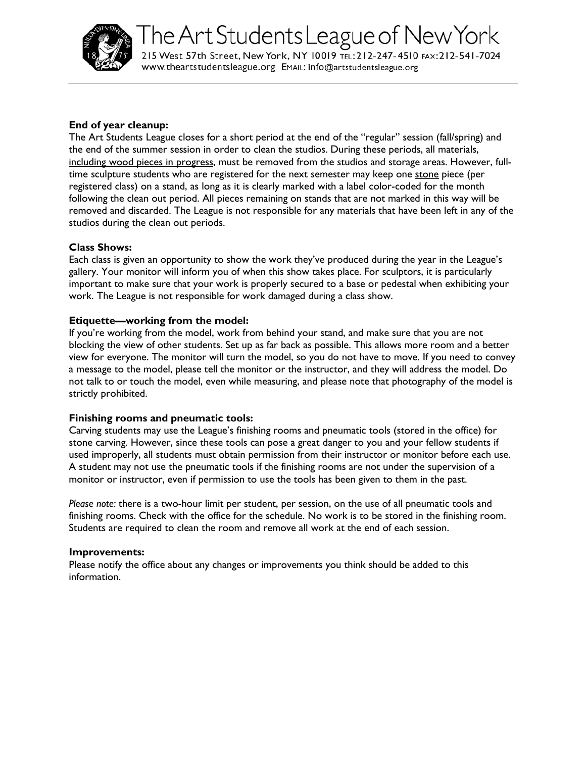

#### **End of year cleanup:**

The Art Students League closes for a short period at the end of the "regular" session (fall/spring) and the end of the summer session in order to clean the studios. During these periods, all materials, including wood pieces in progress, must be removed from the studios and storage areas. However, fulltime sculpture students who are registered for the next semester may keep one stone piece (per registered class) on a stand, as long as it is clearly marked with a label color-coded for the month following the clean out period. All pieces remaining on stands that are not marked in this way will be removed and discarded. The League is not responsible for any materials that have been left in any of the studios during the clean out periods.

#### **Class Shows:**

Each class is given an opportunity to show the work they've produced during the year in the League's gallery. Your monitor will inform you of when this show takes place. For sculptors, it is particularly important to make sure that your work is properly secured to a base or pedestal when exhibiting your work. The League is not responsible for work damaged during a class show.

#### **Etiquette—working from the model:**

If you're working from the model, work from behind your stand, and make sure that you are not blocking the view of other students. Set up as far back as possible. This allows more room and a better view for everyone. The monitor will turn the model, so you do not have to move. If you need to convey a message to the model, please tell the monitor or the instructor, and they will address the model. Do not talk to or touch the model, even while measuring, and please note that photography of the model is strictly prohibited.

#### **Finishing rooms and pneumatic tools:**

Carving students may use the League's finishing rooms and pneumatic tools (stored in the office) for stone carving. However, since these tools can pose a great danger to you and your fellow students if used improperly, all students must obtain permission from their instructor or monitor before each use. A student may not use the pneumatic tools if the finishing rooms are not under the supervision of a monitor or instructor, even if permission to use the tools has been given to them in the past.

*Please note:* there is a two-hour limit per student, per session, on the use of all pneumatic tools and finishing rooms. Check with the office for the schedule. No work is to be stored in the finishing room. Students are required to clean the room and remove all work at the end of each session.

#### **Improvements:**

Please notify the office about any changes or improvements you think should be added to this information.